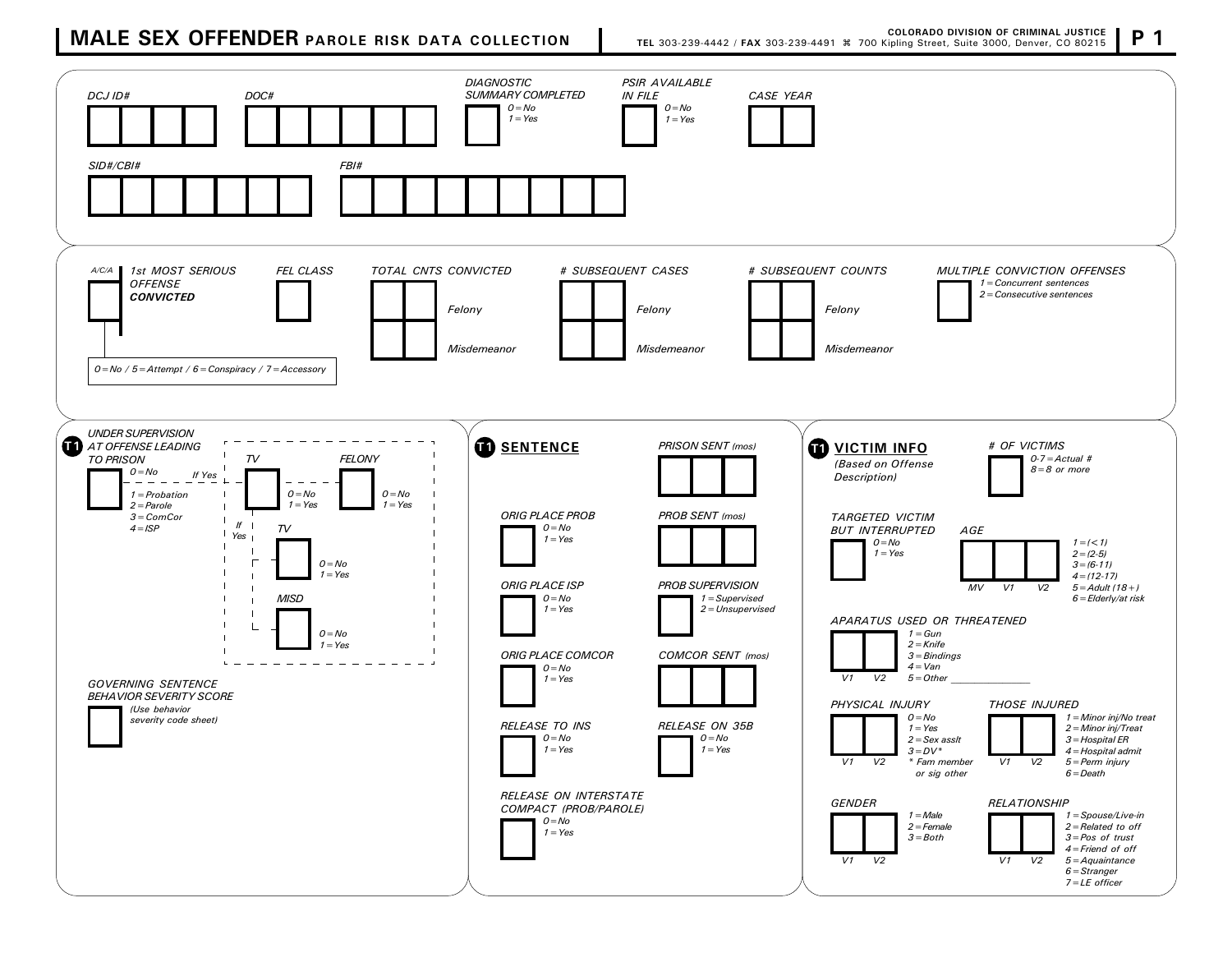## **MALE SEX OFFENDER** PAROLE RISK DATA COLLECTION **P** 1 **TEL 303-239-4442 / FAX 303-239-4491**  $*$  700 Kipling Street, Suite 3000, Denver, CO 80215 P 1

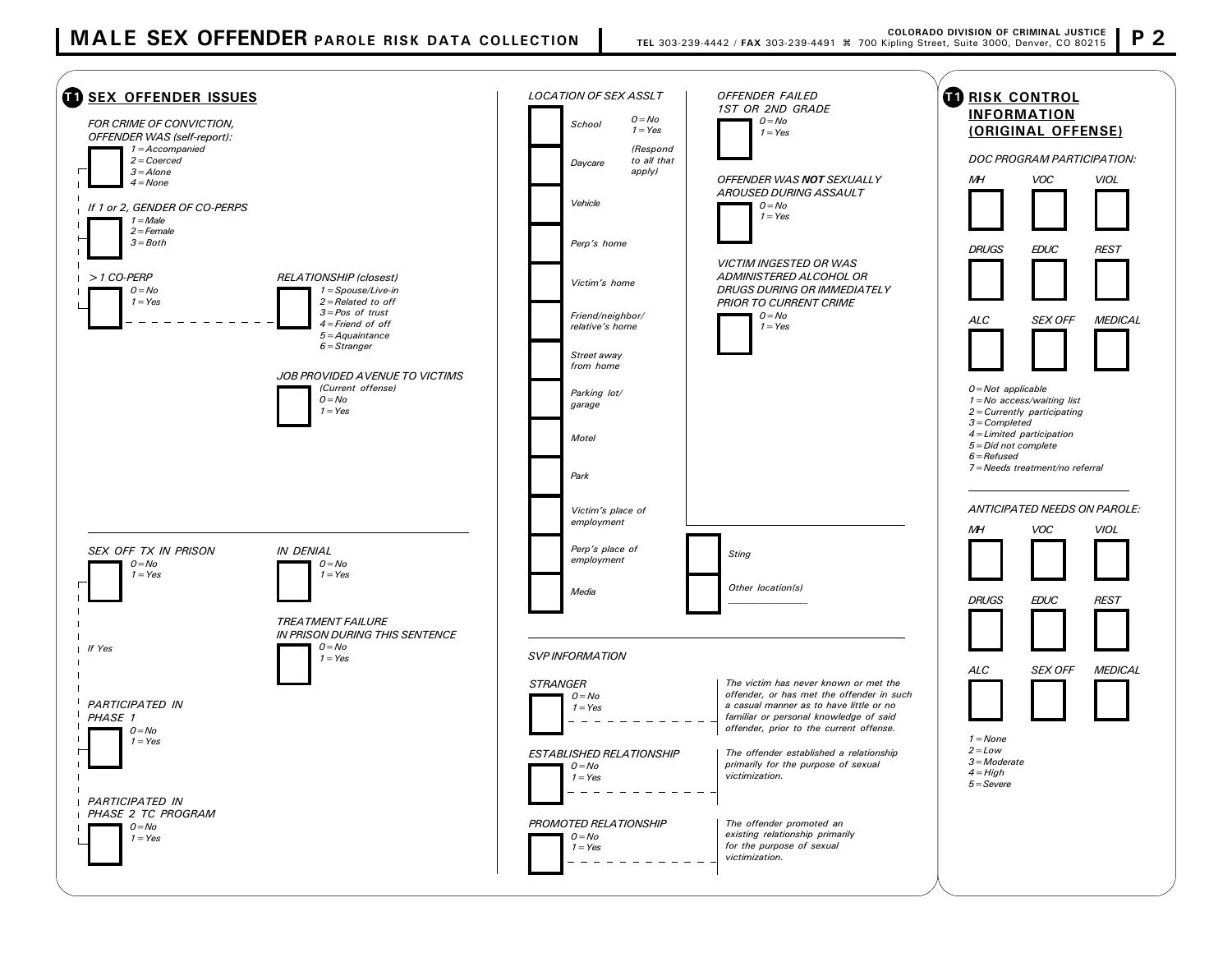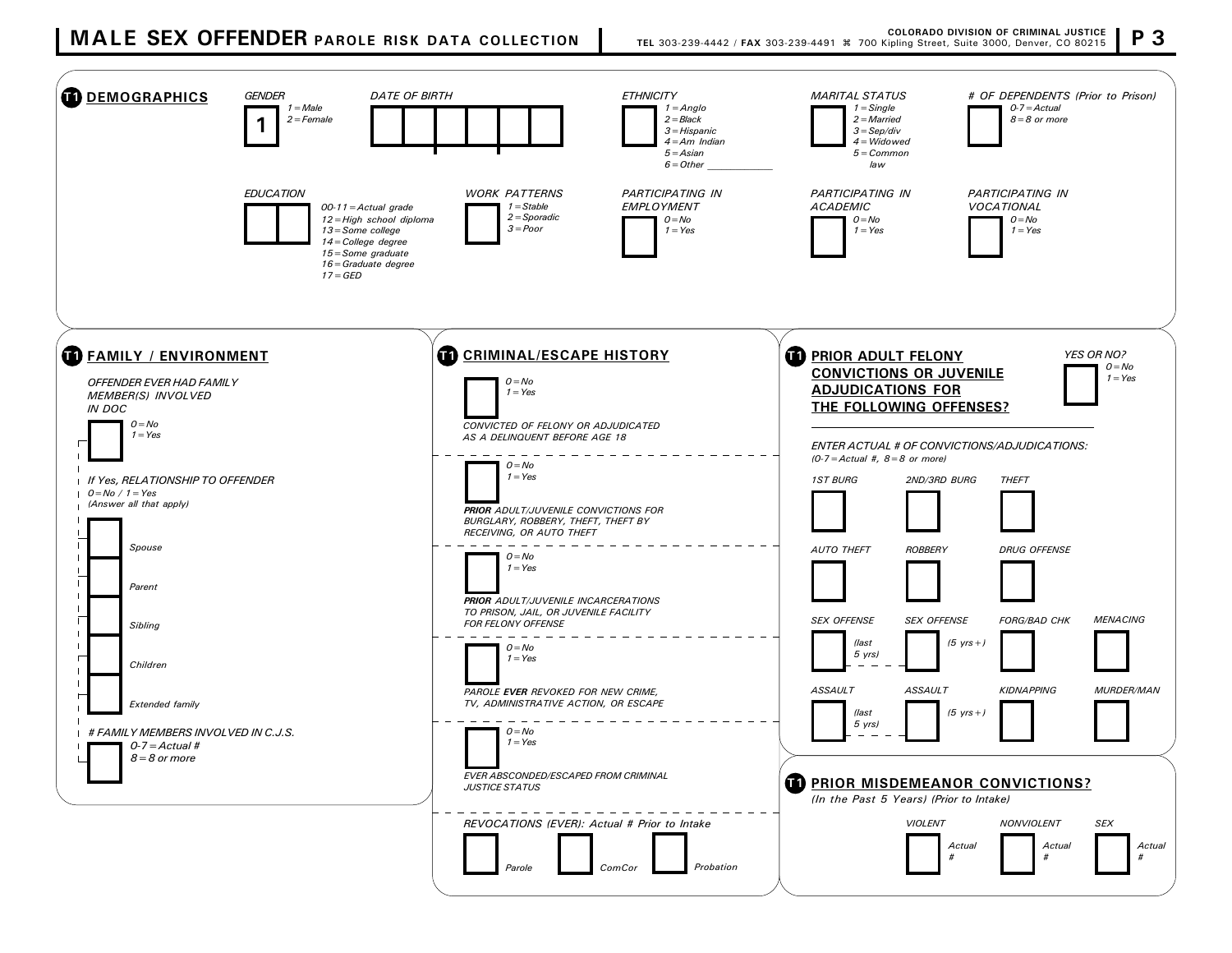